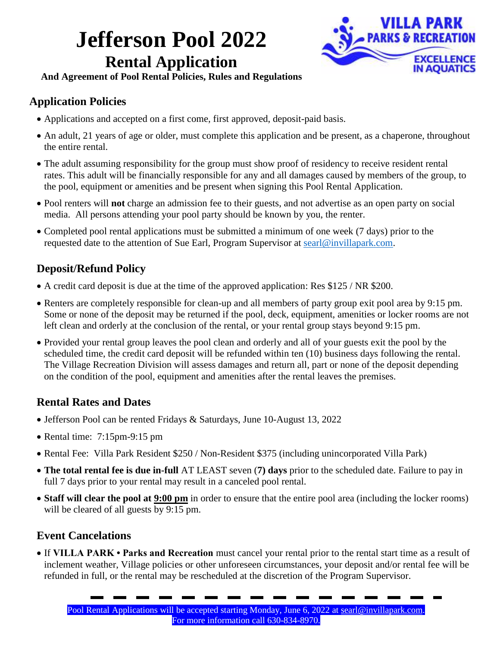## **Jefferson Pool 2022 Rental Application**



**And Agreement of Pool Rental Policies, Rules and Regulations**

#### **Application Policies**

- Applications and accepted on a first come, first approved, deposit-paid basis.
- An adult, 21 years of age or older, must complete this application and be present, as a chaperone, throughout the entire rental.
- The adult assuming responsibility for the group must show proof of residency to receive resident rental rates. This adult will be financially responsible for any and all damages caused by members of the group, to the pool, equipment or amenities and be present when signing this Pool Rental Application.
- Pool renters will **not** charge an admission fee to their guests, and not advertise as an open party on social media. All persons attending your pool party should be known by you, the renter.
- Completed pool rental applications must be submitted a minimum of one week (7 days) prior to the requested date to the attention of Sue Earl, Program Supervisor at [searl@invillapark.com.](mailto:searl@invillapark.com)

### **Deposit/Refund Policy**

- A credit card deposit is due at the time of the approved application: Res \$125 / NR \$200.
- Renters are completely responsible for clean-up and all members of party group exit pool area by 9:15 pm. Some or none of the deposit may be returned if the pool, deck, equipment, amenities or locker rooms are not left clean and orderly at the conclusion of the rental, or your rental group stays beyond 9:15 pm.
- Provided your rental group leaves the pool clean and orderly and all of your guests exit the pool by the scheduled time, the credit card deposit will be refunded within ten (10) business days following the rental. The Village Recreation Division will assess damages and return all, part or none of the deposit depending on the condition of the pool, equipment and amenities after the rental leaves the premises.

#### **Rental Rates and Dates**

- Jefferson Pool can be rented Fridays & Saturdays, June 10-August 13, 2022
- Rental time:  $7:15 \text{pm} 9:15 \text{pm}$
- Rental Fee: Villa Park Resident \$250 / Non-Resident \$375 (including unincorporated Villa Park)
- **The total rental fee is due in-full** AT LEAST seven (**7) days** prior to the scheduled date. Failure to pay in full 7 days prior to your rental may result in a canceled pool rental.
- **Staff will clear the pool at 9:00 pm** in order to ensure that the entire pool area (including the locker rooms) will be cleared of all guests by 9:15 pm.

#### **Event Cancelations**

 If **VILLA PARK • Parks and Recreation** must cancel your rental prior to the rental start time as a result of inclement weather, Village policies or other unforeseen circumstances, your deposit and/or rental fee will be refunded in full, or the rental may be rescheduled at the discretion of the Program Supervisor.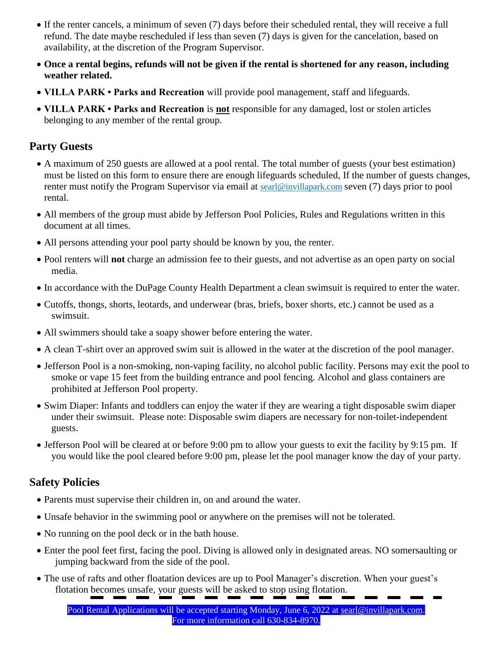- If the renter cancels, a minimum of seven (7) days before their scheduled rental, they will receive a full refund. The date maybe rescheduled if less than seven (7) days is given for the cancelation, based on availability, at the discretion of the Program Supervisor.
- **Once a rental begins, refunds will not be given if the rental is shortened for any reason, including weather related.**
- **VILLA PARK Parks and Recreation** will provide pool management, staff and lifeguards.
- **VILLA PARK Parks and Recreation** is **not** responsible for any damaged, lost or stolen articles belonging to any member of the rental group.

#### **Party Guests**

- A maximum of 250 guests are allowed at a pool rental. The total number of guests (your best estimation) must be listed on this form to ensure there are enough lifeguards scheduled, If the number of guests changes, renter must notify the Program Supervisor via email at [searl@invillapark.com](mailto:searl@invillapark.com) seven (7) days prior to pool rental.
- All members of the group must abide by Jefferson Pool Policies, Rules and Regulations written in this document at all times.
- All persons attending your pool party should be known by you, the renter.
- Pool renters will **not** charge an admission fee to their guests, and not advertise as an open party on social media.
- In accordance with the DuPage County Health Department a clean swimsuit is required to enter the water.
- Cutoffs, thongs, shorts, leotards, and underwear (bras, briefs, boxer shorts, etc.) cannot be used as a swimsuit.
- All swimmers should take a soapy shower before entering the water.
- A clean T-shirt over an approved swim suit is allowed in the water at the discretion of the pool manager.
- Jefferson Pool is a non-smoking, non-vaping facility, no alcohol public facility. Persons may exit the pool to smoke or vape 15 feet from the building entrance and pool fencing. Alcohol and glass containers are prohibited at Jefferson Pool property.
- Swim Diaper: Infants and toddlers can enjoy the water if they are wearing a tight disposable swim diaper under their swimsuit. Please note: Disposable swim diapers are necessary for non-toilet-independent guests.
- Jefferson Pool will be cleared at or before 9:00 pm to allow your guests to exit the facility by 9:15 pm. If you would like the pool cleared before 9:00 pm, please let the pool manager know the day of your party.

#### **Safety Policies**

- Parents must supervise their children in, on and around the water.
- Unsafe behavior in the swimming pool or anywhere on the premises will not be tolerated.
- No running on the pool deck or in the bath house.
- Enter the pool feet first, facing the pool. Diving is allowed only in designated areas. NO somersaulting or jumping backward from the side of the pool.
- The use of rafts and other floatation devices are up to Pool Manager's discretion. When your guest's flotation becomes unsafe, your guests will be asked to stop using flotation.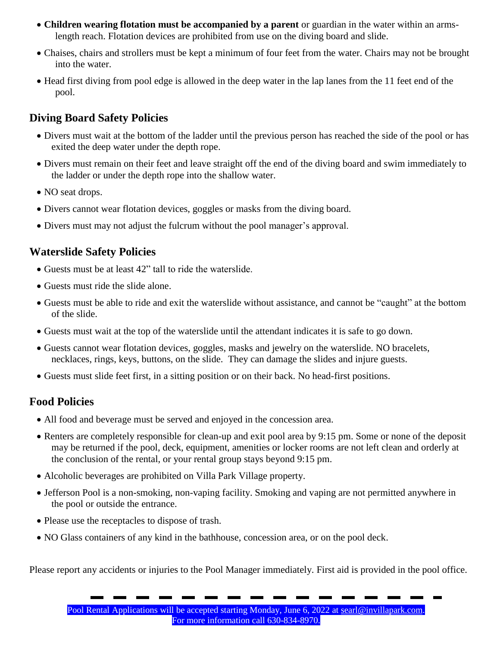- **Children wearing flotation must be accompanied by a parent** or guardian in the water within an armslength reach. Flotation devices are prohibited from use on the diving board and slide.
- Chaises, chairs and strollers must be kept a minimum of four feet from the water. Chairs may not be brought into the water.
- Head first diving from pool edge is allowed in the deep water in the lap lanes from the 11 feet end of the pool.

#### **Diving Board Safety Policies**

- Divers must wait at the bottom of the ladder until the previous person has reached the side of the pool or has exited the deep water under the depth rope.
- Divers must remain on their feet and leave straight off the end of the diving board and swim immediately to the ladder or under the depth rope into the shallow water.
- NO seat drops.
- Divers cannot wear flotation devices, goggles or masks from the diving board.
- Divers must may not adjust the fulcrum without the pool manager's approval.

#### **Waterslide Safety Policies**

- Guests must be at least 42" tall to ride the waterslide.
- Guests must ride the slide alone.
- Guests must be able to ride and exit the waterslide without assistance, and cannot be "caught" at the bottom of the slide.
- Guests must wait at the top of the waterslide until the attendant indicates it is safe to go down.
- Guests cannot wear flotation devices, goggles, masks and jewelry on the waterslide. NO bracelets, necklaces, rings, keys, buttons, on the slide. They can damage the slides and injure guests.
- Guests must slide feet first, in a sitting position or on their back. No head-first positions.

#### **Food Policies**

- All food and beverage must be served and enjoyed in the concession area.
- Renters are completely responsible for clean-up and exit pool area by 9:15 pm. Some or none of the deposit may be returned if the pool, deck, equipment, amenities or locker rooms are not left clean and orderly at the conclusion of the rental, or your rental group stays beyond 9:15 pm.
- Alcoholic beverages are prohibited on Villa Park Village property.
- Jefferson Pool is a non-smoking, non-vaping facility. Smoking and vaping are not permitted anywhere in the pool or outside the entrance.
- Please use the receptacles to dispose of trash.
- NO Glass containers of any kind in the bathhouse, concession area, or on the pool deck.

Please report any accidents or injuries to the Pool Manager immediately. First aid is provided in the pool office.